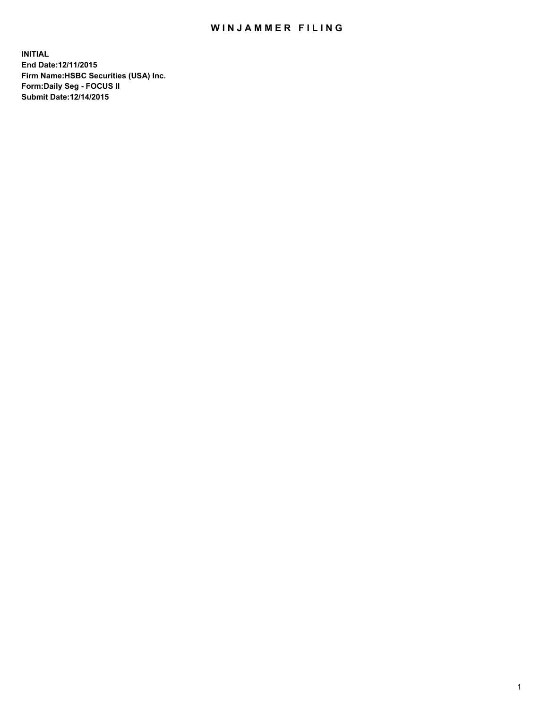## WIN JAMMER FILING

**INITIAL End Date:12/11/2015 Firm Name:HSBC Securities (USA) Inc. Form:Daily Seg - FOCUS II Submit Date:12/14/2015**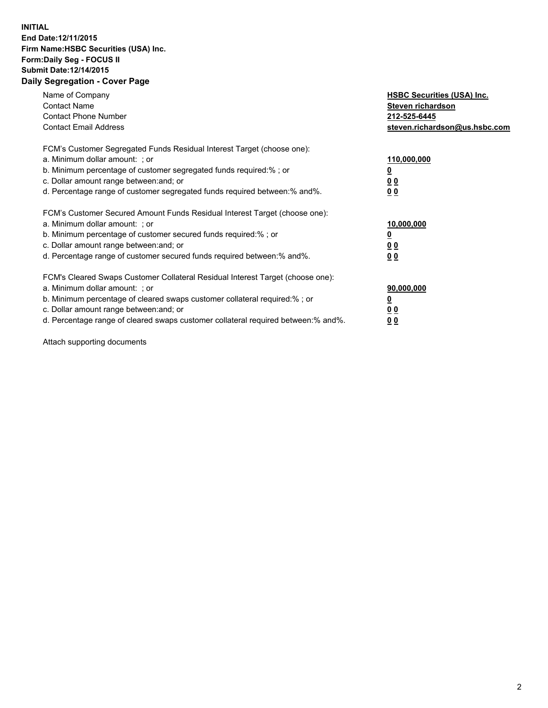## **INITIAL End Date:12/11/2015 Firm Name:HSBC Securities (USA) Inc. Form:Daily Seg - FOCUS II Submit Date:12/14/2015 Daily Segregation - Cover Page**

| Name of Company<br><b>Contact Name</b><br><b>Contact Phone Number</b><br><b>Contact Email Address</b>                                                                                                                                                                                                                         | <b>HSBC Securities (USA) Inc.</b><br>Steven richardson<br>212-525-6445<br>steven.richardson@us.hsbc.com |
|-------------------------------------------------------------------------------------------------------------------------------------------------------------------------------------------------------------------------------------------------------------------------------------------------------------------------------|---------------------------------------------------------------------------------------------------------|
| FCM's Customer Segregated Funds Residual Interest Target (choose one):<br>a. Minimum dollar amount: ; or<br>b. Minimum percentage of customer segregated funds required:%; or<br>c. Dollar amount range between: and; or<br>d. Percentage range of customer segregated funds required between:% and%.                         | 110,000,000<br>00<br>00                                                                                 |
| FCM's Customer Secured Amount Funds Residual Interest Target (choose one):<br>a. Minimum dollar amount: ; or<br>b. Minimum percentage of customer secured funds required:%; or<br>c. Dollar amount range between: and; or<br>d. Percentage range of customer secured funds required between: % and %.                         | 10,000,000<br>0 <sub>0</sub><br>00                                                                      |
| FCM's Cleared Swaps Customer Collateral Residual Interest Target (choose one):<br>a. Minimum dollar amount: ; or<br>b. Minimum percentage of cleared swaps customer collateral required:%; or<br>c. Dollar amount range between: and; or<br>d. Percentage range of cleared swaps customer collateral required between:% and%. | 90,000,000<br><u>0</u><br>00<br>0 <sub>0</sub>                                                          |

Attach supporting documents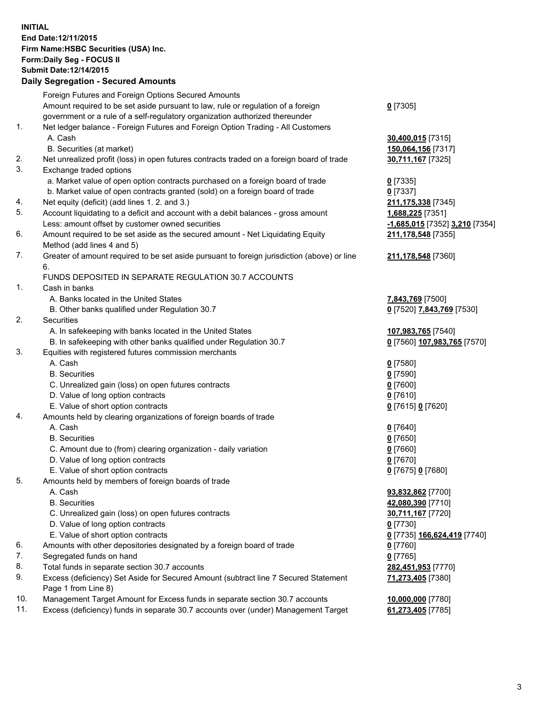**INITIAL End Date:12/11/2015 Firm Name:HSBC Securities (USA) Inc. Form:Daily Seg - FOCUS II Submit Date:12/14/2015**

## **Daily Segregation - Secured Amounts** Foreign Futures and Foreign Options Secured Amounts

|     | Foreign Futures and Foreign Options Secured Amounts                                                        |                                |
|-----|------------------------------------------------------------------------------------------------------------|--------------------------------|
|     | Amount required to be set aside pursuant to law, rule or regulation of a foreign                           | $0$ [7305]                     |
|     | government or a rule of a self-regulatory organization authorized thereunder                               |                                |
| 1.  | Net ledger balance - Foreign Futures and Foreign Option Trading - All Customers                            |                                |
|     | A. Cash                                                                                                    | 30,400,015 [7315]              |
|     | B. Securities (at market)                                                                                  | 150,064,156 [7317]             |
| 2.  | Net unrealized profit (loss) in open futures contracts traded on a foreign board of trade                  | 30,711,167 [7325]              |
| 3.  | Exchange traded options                                                                                    |                                |
|     | a. Market value of open option contracts purchased on a foreign board of trade                             | $0$ [7335]                     |
|     | b. Market value of open contracts granted (sold) on a foreign board of trade                               | 0 [7337]                       |
| 4.  | Net equity (deficit) (add lines 1.2. and 3.)                                                               |                                |
| 5.  |                                                                                                            | 211,175,338 [7345]             |
|     | Account liquidating to a deficit and account with a debit balances - gross amount                          | 1,688,225 [7351]               |
|     | Less: amount offset by customer owned securities                                                           | -1,685,015 [7352] 3,210 [7354] |
| 6.  | Amount required to be set aside as the secured amount - Net Liquidating Equity                             | 211,178,548 [7355]             |
|     | Method (add lines 4 and 5)                                                                                 |                                |
| 7.  | Greater of amount required to be set aside pursuant to foreign jurisdiction (above) or line<br>6.          | 211,178,548 [7360]             |
|     | FUNDS DEPOSITED IN SEPARATE REGULATION 30.7 ACCOUNTS                                                       |                                |
| 1.  | Cash in banks                                                                                              |                                |
|     | A. Banks located in the United States                                                                      | 7,843,769 [7500]               |
|     | B. Other banks qualified under Regulation 30.7                                                             | 0 [7520] 7,843,769 [7530]      |
| 2.  | Securities                                                                                                 |                                |
|     | A. In safekeeping with banks located in the United States                                                  | 107,983,765 [7540]             |
|     | B. In safekeeping with other banks qualified under Regulation 30.7                                         | 0 [7560] 107,983,765 [7570]    |
| 3.  | Equities with registered futures commission merchants                                                      |                                |
|     | A. Cash                                                                                                    | $0$ [7580]                     |
|     | <b>B.</b> Securities                                                                                       | $0$ [7590]                     |
|     | C. Unrealized gain (loss) on open futures contracts                                                        | $0$ [7600]                     |
|     | D. Value of long option contracts                                                                          | 0 [7610]                       |
|     | E. Value of short option contracts                                                                         | 0 [7615] 0 [7620]              |
| 4.  | Amounts held by clearing organizations of foreign boards of trade                                          |                                |
|     | A. Cash                                                                                                    | $0$ [7640]                     |
|     | <b>B.</b> Securities                                                                                       | $0$ [7650]                     |
|     | C. Amount due to (from) clearing organization - daily variation                                            | $0$ [7660]                     |
|     | D. Value of long option contracts                                                                          | $0$ [7670]                     |
|     | E. Value of short option contracts                                                                         |                                |
| 5.  |                                                                                                            | 0 [7675] 0 [7680]              |
|     | Amounts held by members of foreign boards of trade                                                         |                                |
|     | A. Cash                                                                                                    | 93,832,862 [7700]              |
|     | <b>B.</b> Securities                                                                                       | 42,080,390 [7710]              |
|     | C. Unrealized gain (loss) on open futures contracts                                                        | 30,711,167 [7720]              |
|     | D. Value of long option contracts                                                                          | $0$ [7730]                     |
|     | E. Value of short option contracts                                                                         | 0 [7735] 166,624,419 [7740]    |
| 6.  | Amounts with other depositories designated by a foreign board of trade                                     | $0$ [7760]                     |
| 7.  | Segregated funds on hand                                                                                   | 0 [7765]                       |
| 8.  | Total funds in separate section 30.7 accounts                                                              | 282,451,953 [7770]             |
| 9.  | Excess (deficiency) Set Aside for Secured Amount (subtract line 7 Secured Statement<br>Page 1 from Line 8) | 71,273,405 [7380]              |
| 10. | Management Target Amount for Excess funds in separate section 30.7 accounts                                | 10,000,000 [7780]              |
| 11. | Excess (deficiency) funds in separate 30.7 accounts over (under) Management Target                         | 61,273,405 [7785]              |
|     |                                                                                                            |                                |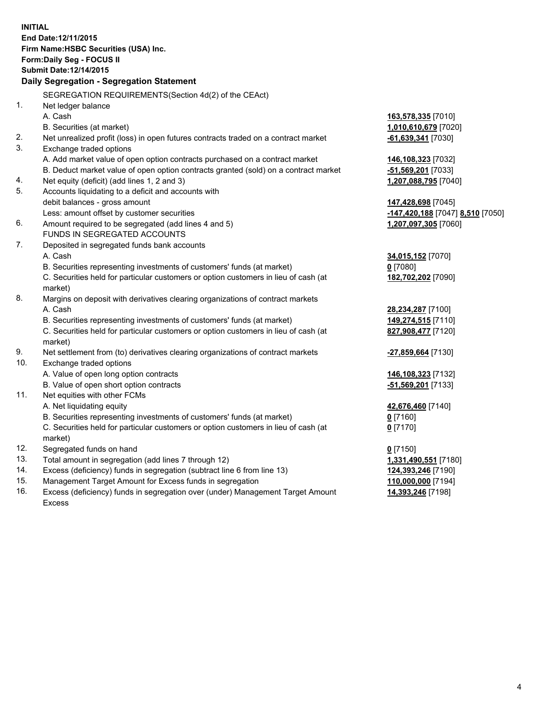| <b>INITIAL</b> |                                                                                     |                                  |
|----------------|-------------------------------------------------------------------------------------|----------------------------------|
|                | End Date: 12/11/2015                                                                |                                  |
|                | Firm Name: HSBC Securities (USA) Inc.                                               |                                  |
|                | Form: Daily Seg - FOCUS II                                                          |                                  |
|                | <b>Submit Date:12/14/2015</b>                                                       |                                  |
|                | Daily Segregation - Segregation Statement                                           |                                  |
|                | SEGREGATION REQUIREMENTS(Section 4d(2) of the CEAct)                                |                                  |
| 1.             | Net ledger balance                                                                  |                                  |
|                | A. Cash                                                                             | 163,578,335 [7010]               |
|                | B. Securities (at market)                                                           | 1,010,610,679 [7020]             |
| 2.             | Net unrealized profit (loss) in open futures contracts traded on a contract market  | $-61,639,341$ [7030]             |
| 3.             | Exchange traded options                                                             |                                  |
|                | A. Add market value of open option contracts purchased on a contract market         | 146,108,323 [7032]               |
|                | B. Deduct market value of open option contracts granted (sold) on a contract market | -51,569,201 [7033]               |
| 4.             | Net equity (deficit) (add lines 1, 2 and 3)                                         | 1,207,088,795 [7040]             |
| 5.             | Accounts liquidating to a deficit and accounts with                                 |                                  |
|                | debit balances - gross amount                                                       | 147,428,698 [7045]               |
|                | Less: amount offset by customer securities                                          | -147,420,188 [7047] 8,510 [7050] |
| 6.             | Amount required to be segregated (add lines 4 and 5)                                | 1,207,097,305 [7060]             |
|                | FUNDS IN SEGREGATED ACCOUNTS                                                        |                                  |
| 7.             | Deposited in segregated funds bank accounts                                         |                                  |
|                | A. Cash                                                                             | 34,015,152 [7070]                |
|                | B. Securities representing investments of customers' funds (at market)              | $0$ [7080]                       |
|                | C. Securities held for particular customers or option customers in lieu of cash (at | 182,702,202 [7090]               |
|                | market)                                                                             |                                  |
| 8.             | Margins on deposit with derivatives clearing organizations of contract markets      |                                  |
|                | A. Cash                                                                             | 28,234,287 [7100]                |
|                | B. Securities representing investments of customers' funds (at market)              | 149,274,515 [7110]               |
|                | C. Securities held for particular customers or option customers in lieu of cash (at | 827,908,477 [7120]               |
|                | market)                                                                             |                                  |
| 9.             | Net settlement from (to) derivatives clearing organizations of contract markets     | -27,859,664 [7130]               |
| 10.            | Exchange traded options                                                             |                                  |
|                | A. Value of open long option contracts                                              | 146,108,323 [7132]               |
|                | B. Value of open short option contracts                                             | -51,569,201 [7133]               |
| 11.            | Net equities with other FCMs                                                        |                                  |
|                | A. Net liquidating equity                                                           | 42,676,460 [7140]                |
|                | B. Securities representing investments of customers' funds (at market)              | <u>0</u> [7160]                  |
|                | C. Securities held for particular customers or option customers in lieu of cash (at | $0$ [7170]                       |
|                | market)                                                                             |                                  |
| 12.            | Segregated funds on hand                                                            | $0$ [7150]                       |
| 13.            | Total amount in segregation (add lines 7 through 12)                                | 1,331,490,551 [7180]             |
| 14.            | Excess (deficiency) funds in segregation (subtract line 6 from line 13)             | 124,393,246 [7190]               |
| 15.            | Management Target Amount for Excess funds in segregation                            | 110,000,000 [7194]               |
| 16.            | Excess (deficiency) funds in segregation over (under) Management Target Amount      | 14,393,246 [7198]                |

16. Excess (deficiency) funds in segregation over (under) Management Target Amount Excess